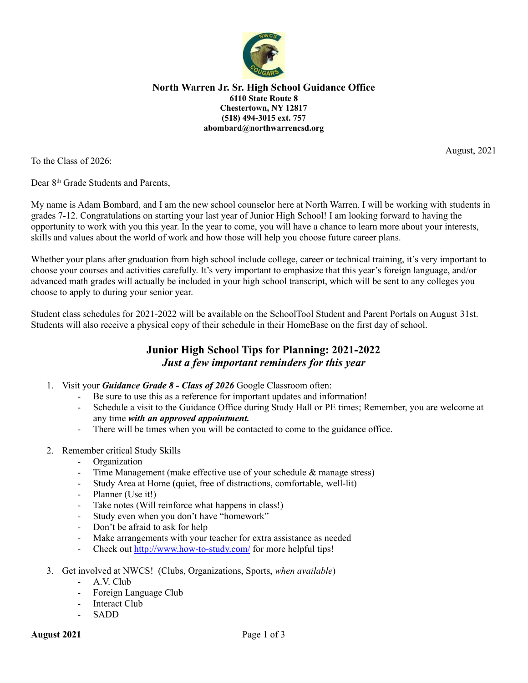

### **North Warren Jr. Sr. High School Guidance Office 6110 State Route 8 Chestertown, NY 12817 (518) 494-3015 ext. 757 abombard@northwarrencsd.org**

August, 2021

To the Class of 2026:

Dear 8<sup>th</sup> Grade Students and Parents,

My name is Adam Bombard, and I am the new school counselor here at North Warren. I will be working with students in grades 7-12. Congratulations on starting your last year of Junior High School! I am looking forward to having the opportunity to work with you this year. In the year to come, you will have a chance to learn more about your interests, skills and values about the world of work and how those will help you choose future career plans.

Whether your plans after graduation from high school include college, career or technical training, it's very important to choose your courses and activities carefully. It's very important to emphasize that this year's foreign language, and/or advanced math grades will actually be included in your high school transcript, which will be sent to any colleges you choose to apply to during your senior year.

Student class schedules for 2021-2022 will be available on the SchoolTool Student and Parent Portals on August 31st. Students will also receive a physical copy of their schedule in their HomeBase on the first day of school.

# **Junior High School Tips for Planning: 2021-2022** *Just a few important reminders for this year*

- 1. Visit your *Guidance Grade 8 - Class of 2026* Google Classroom often:
	- Be sure to use this as a reference for important updates and information!
	- Schedule a visit to the Guidance Office during Study Hall or PE times; Remember, you are welcome at any time *with an approved appointment.*
	- There will be times when you will be contacted to come to the guidance office.
- 2. Remember critical Study Skills
	- Organization
	- Time Management (make effective use of your schedule & manage stress)
	- Study Area at Home (quiet, free of distractions, comfortable, well-lit)
	- Planner (Use it!)
	- Take notes (Will reinforce what happens in class!)
	- Study even when you don't have "homework"
	- Don't be afraid to ask for help
	- Make arrangements with your teacher for extra assistance as needed
	- Check out <http://www.how-to-study.com/> for more helpful tips!
- 3. Get involved at NWCS! (Clubs, Organizations, Sports, *when available*)
	- A.V. Club
	- Foreign Language Club
	- Interact Club
	- SADD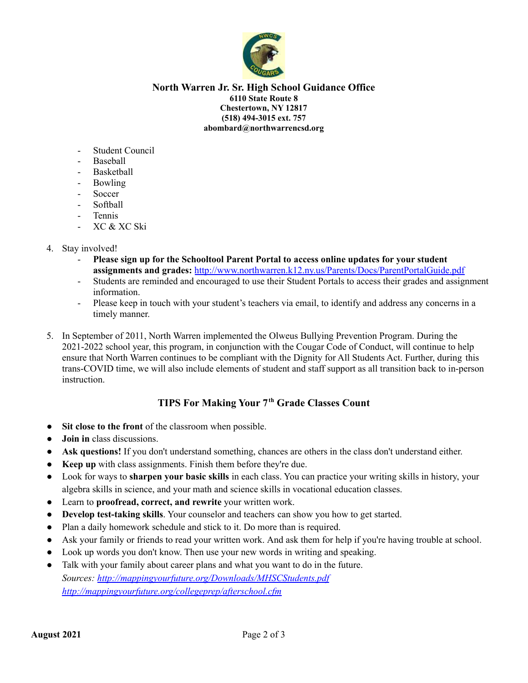

### **North Warren Jr. Sr. High School Guidance Office 6110 State Route 8 Chestertown, NY 12817 (518) 494-3015 ext. 757 abombard@northwarrencsd.org**

- Student Council
- Baseball
- **Basketball**
- Bowling
- **Soccer**
- Softball
- Tennis
- XC & XC Ski
- 4. Stay involved!
	- **Please sign up for the Schooltool Parent Portal to access online updates for your student assignments and grades:** <http://www.northwarren.k12.ny.us/Parents/Docs/ParentPortalGuide.pdf>
	- Students are reminded and encouraged to use their Student Portals to access their grades and assignment information.
	- Please keep in touch with your student's teachers via email, to identify and address any concerns in a timely manner.
- 5. In September of 2011, North Warren implemented the Olweus Bullying Prevention Program. During the 2021-2022 school year, this program, in conjunction with the Cougar Code of Conduct, will continue to help ensure that North Warren continues to be compliant with the Dignity for All Students Act. Further, during this trans-COVID time, we will also include elements of student and staff support as all transition back to in-person instruction.

## **TIPS For Making Your 7th Grade Classes Count**

- **Sit close to the front** of the classroom when possible.
- **Join** in class discussions.
- **Ask questions!** If you don't understand something, chances are others in the class don't understand either.
- **Keep up** with class assignments. Finish them before they're due.
- Look for ways to **sharpen your basic skills** in each class. You can practice your writing skills in history, your algebra skills in science, and your math and science skills in vocational education classes.
- Learn to **proofread, correct, and rewrite** your written work.
- **Develop test-taking skills**. Your counselor and teachers can show you how to get started.
- Plan a daily homework schedule and stick to it. Do more than is required.
- Ask your family or friends to read your written work. And ask them for help if you're having trouble at school.
- Look up words you don't know. Then use your new words in writing and speaking.
- Talk with your family about career plans and what you want to do in the future. *Sources: <http://mappingyourfuture.org/Downloads/MHSCStudents.pdf> <http://mappingyourfuture.org/collegeprep/afterschool.cfm>*